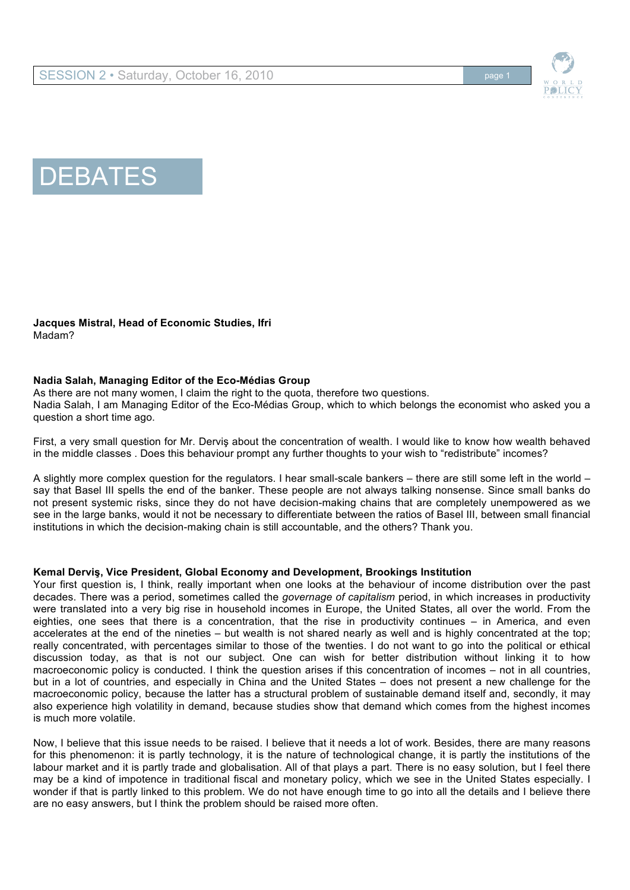



**Jacques Mistral, Head of Economic Studies, Ifri** Madam?

### **Nadia Salah, Managing Editor of the Eco-Médias Group**

As there are not many women, I claim the right to the quota, therefore two questions.

Nadia Salah, I am Managing Editor of the Eco-Médias Group, which to which belongs the economist who asked you a question a short time ago.

First, a very small question for Mr. Derviş about the concentration of wealth. I would like to know how wealth behaved in the middle classes . Does this behaviour prompt any further thoughts to your wish to "redistribute" incomes?

A slightly more complex question for the regulators. I hear small-scale bankers – there are still some left in the world – say that Basel III spells the end of the banker. These people are not always talking nonsense. Since small banks do not present systemic risks, since they do not have decision-making chains that are completely unempowered as we see in the large banks, would it not be necessary to differentiate between the ratios of Basel III, between small financial institutions in which the decision-making chain is still accountable, and the others? Thank you.

#### **Kemal Derviş, Vice President, Global Economy and Development, Brookings Institution**

Your first question is, I think, really important when one looks at the behaviour of income distribution over the past decades. There was a period, sometimes called the *governage of capitalism* period, in which increases in productivity were translated into a very big rise in household incomes in Europe, the United States, all over the world. From the eighties, one sees that there is a concentration, that the rise in productivity continues – in America, and even accelerates at the end of the nineties – but wealth is not shared nearly as well and is highly concentrated at the top; really concentrated, with percentages similar to those of the twenties. I do not want to go into the political or ethical discussion today, as that is not our subject. One can wish for better distribution without linking it to how macroeconomic policy is conducted. I think the question arises if this concentration of incomes – not in all countries, but in a lot of countries, and especially in China and the United States – does not present a new challenge for the macroeconomic policy, because the latter has a structural problem of sustainable demand itself and, secondly, it may also experience high volatility in demand, because studies show that demand which comes from the highest incomes is much more volatile.

Now, I believe that this issue needs to be raised. I believe that it needs a lot of work. Besides, there are many reasons for this phenomenon: it is partly technology, it is the nature of technological change, it is partly the institutions of the labour market and it is partly trade and globalisation. All of that plays a part. There is no easy solution, but I feel there may be a kind of impotence in traditional fiscal and monetary policy, which we see in the United States especially. I wonder if that is partly linked to this problem. We do not have enough time to go into all the details and I believe there are no easy answers, but I think the problem should be raised more often.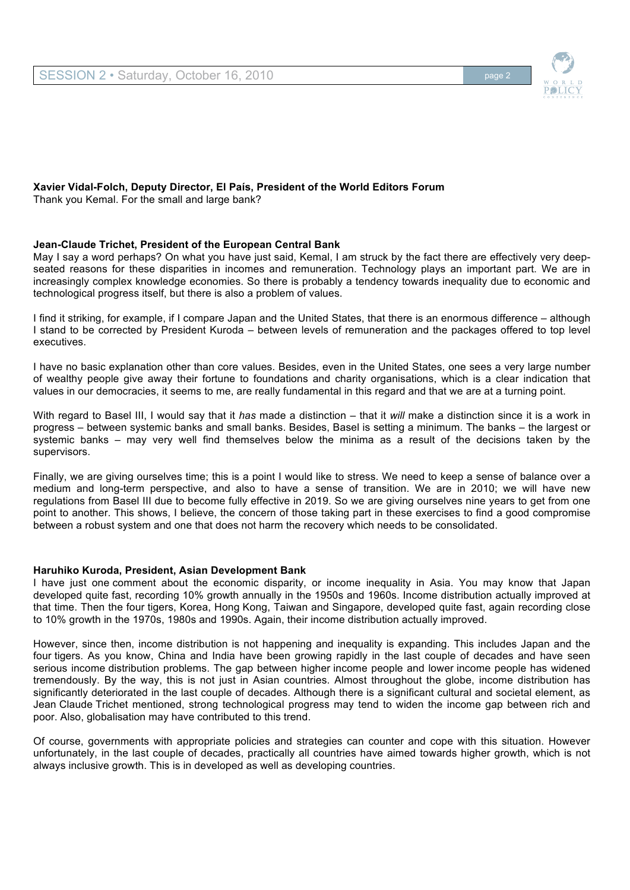

#### **Xavier Vidal-Folch, Deputy Director, El País, President of the World Editors Forum** Thank you Kemal. For the small and large bank?

## **Jean-Claude Trichet, President of the European Central Bank**

May I say a word perhaps? On what you have just said, Kemal, I am struck by the fact there are effectively very deepseated reasons for these disparities in incomes and remuneration. Technology plays an important part. We are in increasingly complex knowledge economies. So there is probably a tendency towards inequality due to economic and technological progress itself, but there is also a problem of values.

I find it striking, for example, if I compare Japan and the United States, that there is an enormous difference – although I stand to be corrected by President Kuroda – between levels of remuneration and the packages offered to top level executives.

I have no basic explanation other than core values. Besides, even in the United States, one sees a very large number of wealthy people give away their fortune to foundations and charity organisations, which is a clear indication that values in our democracies, it seems to me, are really fundamental in this regard and that we are at a turning point.

With regard to Basel III, I would say that it *has* made a distinction – that it *will* make a distinction since it is a work in progress – between systemic banks and small banks. Besides, Basel is setting a minimum. The banks – the largest or systemic banks – may very well find themselves below the minima as a result of the decisions taken by the supervisors.

Finally, we are giving ourselves time; this is a point I would like to stress. We need to keep a sense of balance over a medium and long-term perspective, and also to have a sense of transition. We are in 2010; we will have new regulations from Basel III due to become fully effective in 2019. So we are giving ourselves nine years to get from one point to another. This shows, I believe, the concern of those taking part in these exercises to find a good compromise between a robust system and one that does not harm the recovery which needs to be consolidated.

## **Haruhiko Kuroda, President, Asian Development Bank**

I have just one comment about the economic disparity, or income inequality in Asia. You may know that Japan developed quite fast, recording 10% growth annually in the 1950s and 1960s. Income distribution actually improved at that time. Then the four tigers, Korea, Hong Kong, Taiwan and Singapore, developed quite fast, again recording close to 10% growth in the 1970s, 1980s and 1990s. Again, their income distribution actually improved.

However, since then, income distribution is not happening and inequality is expanding. This includes Japan and the four tigers. As you know, China and India have been growing rapidly in the last couple of decades and have seen serious income distribution problems. The gap between higher income people and lower income people has widened tremendously. By the way, this is not just in Asian countries. Almost throughout the globe, income distribution has significantly deteriorated in the last couple of decades. Although there is a significant cultural and societal element, as Jean Claude Trichet mentioned, strong technological progress may tend to widen the income gap between rich and poor. Also, globalisation may have contributed to this trend.

Of course, governments with appropriate policies and strategies can counter and cope with this situation. However unfortunately, in the last couple of decades, practically all countries have aimed towards higher growth, which is not always inclusive growth. This is in developed as well as developing countries.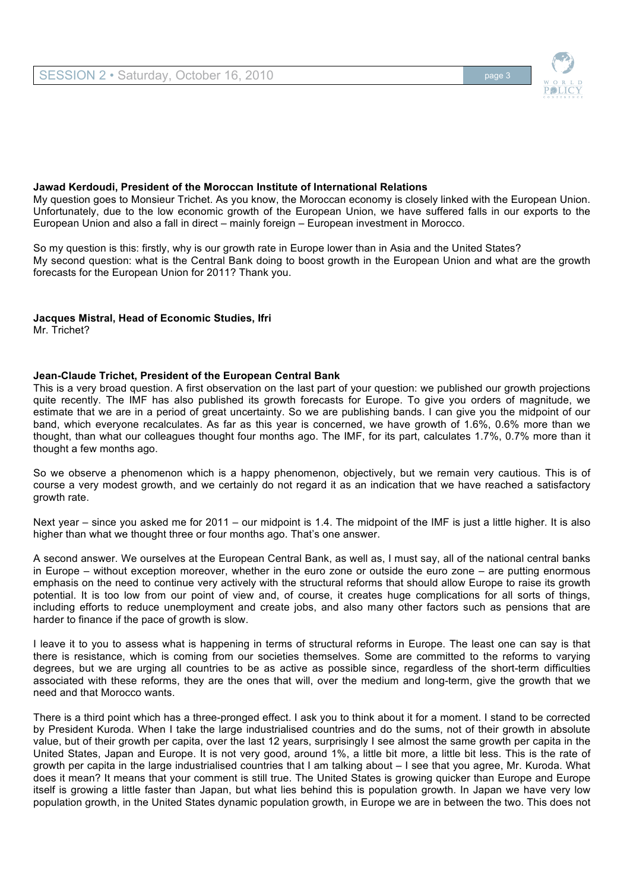

#### **Jawad Kerdoudi, President of the Moroccan Institute of International Relations**

My question goes to Monsieur Trichet. As you know, the Moroccan economy is closely linked with the European Union. Unfortunately, due to the low economic growth of the European Union, we have suffered falls in our exports to the European Union and also a fall in direct – mainly foreign – European investment in Morocco.

So my question is this: firstly, why is our growth rate in Europe lower than in Asia and the United States? My second question: what is the Central Bank doing to boost growth in the European Union and what are the growth forecasts for the European Union for 2011? Thank you.

**Jacques Mistral, Head of Economic Studies, Ifri** Mr. Trichet?

#### **Jean-Claude Trichet, President of the European Central Bank**

This is a very broad question. A first observation on the last part of your question: we published our growth projections quite recently. The IMF has also published its growth forecasts for Europe. To give you orders of magnitude, we estimate that we are in a period of great uncertainty. So we are publishing bands. I can give you the midpoint of our band, which everyone recalculates. As far as this year is concerned, we have growth of 1.6%, 0.6% more than we thought, than what our colleagues thought four months ago. The IMF, for its part, calculates 1.7%, 0.7% more than it thought a few months ago.

So we observe a phenomenon which is a happy phenomenon, objectively, but we remain very cautious. This is of course a very modest growth, and we certainly do not regard it as an indication that we have reached a satisfactory growth rate.

Next year – since you asked me for 2011 – our midpoint is 1.4. The midpoint of the IMF is just a little higher. It is also higher than what we thought three or four months ago. That's one answer.

A second answer. We ourselves at the European Central Bank, as well as, I must say, all of the national central banks in Europe – without exception moreover, whether in the euro zone or outside the euro zone – are putting enormous emphasis on the need to continue very actively with the structural reforms that should allow Europe to raise its growth potential. It is too low from our point of view and, of course, it creates huge complications for all sorts of things, including efforts to reduce unemployment and create jobs, and also many other factors such as pensions that are harder to finance if the pace of growth is slow.

I leave it to you to assess what is happening in terms of structural reforms in Europe. The least one can say is that there is resistance, which is coming from our societies themselves. Some are committed to the reforms to varying degrees, but we are urging all countries to be as active as possible since, regardless of the short-term difficulties associated with these reforms, they are the ones that will, over the medium and long-term, give the growth that we need and that Morocco wants.

There is a third point which has a three-pronged effect. I ask you to think about it for a moment. I stand to be corrected by President Kuroda. When I take the large industrialised countries and do the sums, not of their growth in absolute value, but of their growth per capita, over the last 12 years, surprisingly I see almost the same growth per capita in the United States, Japan and Europe. It is not very good, around 1%, a little bit more, a little bit less. This is the rate of growth per capita in the large industrialised countries that I am talking about – I see that you agree, Mr. Kuroda. What does it mean? It means that your comment is still true. The United States is growing quicker than Europe and Europe itself is growing a little faster than Japan, but what lies behind this is population growth. In Japan we have very low population growth, in the United States dynamic population growth, in Europe we are in between the two. This does not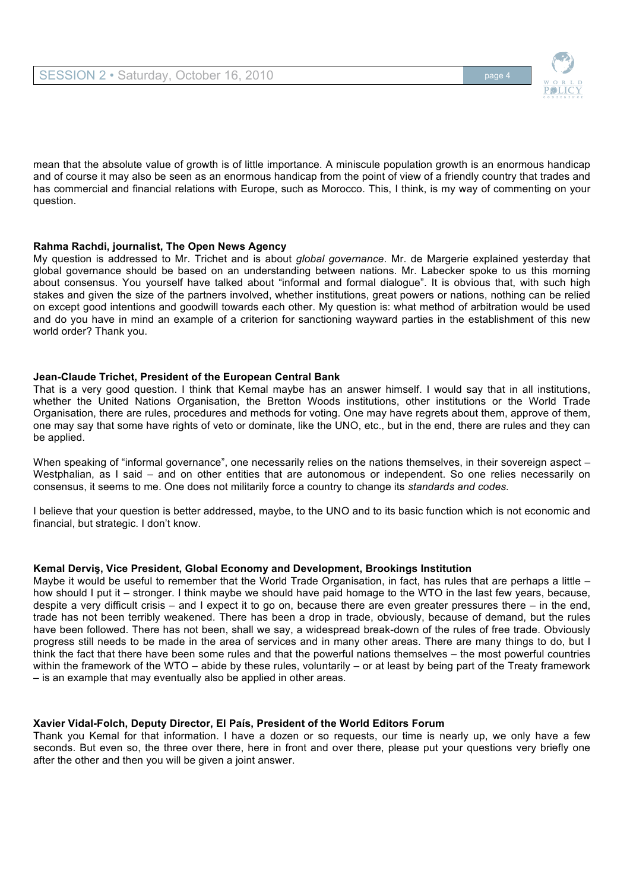

mean that the absolute value of growth is of little importance. A miniscule population growth is an enormous handicap and of course it may also be seen as an enormous handicap from the point of view of a friendly country that trades and has commercial and financial relations with Europe, such as Morocco. This, I think, is my way of commenting on your question.

## **Rahma Rachdi, journalist, The Open News Agency**

My question is addressed to Mr. Trichet and is about *global governance*. Mr. de Margerie explained yesterday that global governance should be based on an understanding between nations. Mr. Labecker spoke to us this morning about consensus. You yourself have talked about "informal and formal dialogue". It is obvious that, with such high stakes and given the size of the partners involved, whether institutions, great powers or nations, nothing can be relied on except good intentions and goodwill towards each other. My question is: what method of arbitration would be used and do you have in mind an example of a criterion for sanctioning wayward parties in the establishment of this new world order? Thank you.

#### **Jean-Claude Trichet, President of the European Central Bank**

That is a very good question. I think that Kemal maybe has an answer himself. I would say that in all institutions, whether the United Nations Organisation, the Bretton Woods institutions, other institutions or the World Trade Organisation, there are rules, procedures and methods for voting. One may have regrets about them, approve of them, one may say that some have rights of veto or dominate, like the UNO, etc., but in the end, there are rules and they can be applied.

When speaking of "informal governance", one necessarily relies on the nations themselves, in their sovereign aspect – Westphalian, as I said – and on other entities that are autonomous or independent. So one relies necessarily on consensus, it seems to me. One does not militarily force a country to change its *standards and codes.* 

I believe that your question is better addressed, maybe, to the UNO and to its basic function which is not economic and financial, but strategic. I don't know.

#### **Kemal Derviş, Vice President, Global Economy and Development, Brookings Institution**

Maybe it would be useful to remember that the World Trade Organisation, in fact, has rules that are perhaps a little – how should I put it – stronger. I think maybe we should have paid homage to the WTO in the last few years, because, despite a very difficult crisis – and I expect it to go on, because there are even greater pressures there – in the end, trade has not been terribly weakened. There has been a drop in trade, obviously, because of demand, but the rules have been followed. There has not been, shall we say, a widespread break-down of the rules of free trade. Obviously progress still needs to be made in the area of services and in many other areas. There are many things to do, but I think the fact that there have been some rules and that the powerful nations themselves – the most powerful countries within the framework of the WTO – abide by these rules, voluntarily – or at least by being part of the Treaty framework – is an example that may eventually also be applied in other areas.

#### **Xavier Vidal-Folch, Deputy Director, El País, President of the World Editors Forum**

Thank you Kemal for that information. I have a dozen or so requests, our time is nearly up, we only have a few seconds. But even so, the three over there, here in front and over there, please put your questions very briefly one after the other and then you will be given a joint answer.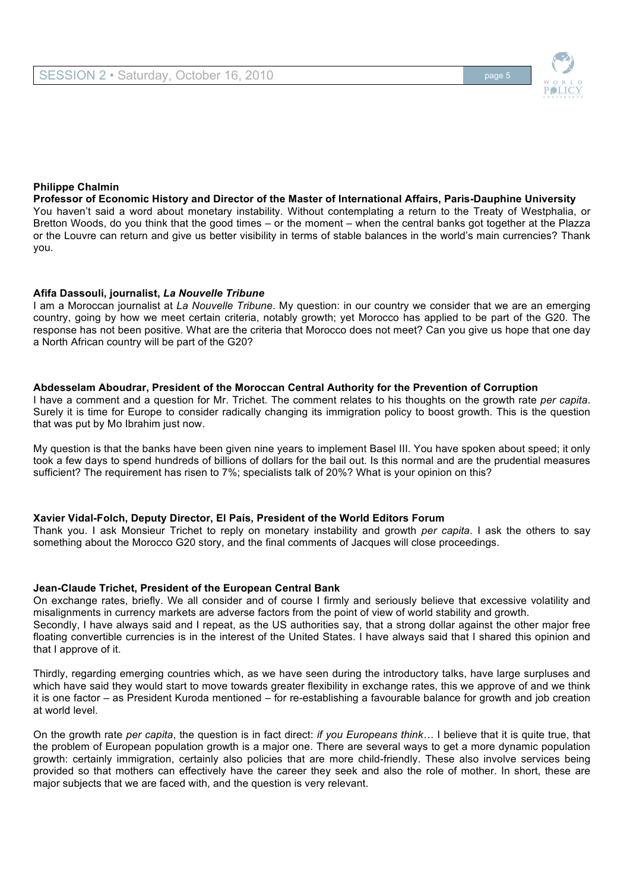

### **Philippe Chalmin**

**Professor of Economic History and Director of the Master of International Affairs, Paris-Dauphine University** You haven't said a word about monetary instability. Without contemplating a return to the Treaty of Westphalia, or Bretton Woods, do you think that the good times – or the moment – when the central banks got together at the Plazza or the Louvre can return and give us better visibility in terms of stable balances in the world's main currencies? Thank you.

#### **Afifa Dassouli, journalist,** *La Nouvelle Tribune*

I am a Moroccan journalist at *La Nouvelle Tribune*. My question: in our country we consider that we are an emerging country, going by how we meet certain criteria, notably growth; yet Morocco has applied to be part of the G20. The response has not been positive. What are the criteria that Morocco does not meet? Can you give us hope that one day a North African country will be part of the G20?

#### **Abdesselam Aboudrar, President of the Moroccan Central Authority for the Prevention of Corruption**

I have a comment and a question for Mr. Trichet. The comment relates to his thoughts on the growth rate *per capita*. Surely it is time for Europe to consider radically changing its immigration policy to boost growth. This is the question that was put by Mo Ibrahim just now.

My question is that the banks have been given nine years to implement Basel III. You have spoken about speed; it only took a few days to spend hundreds of billions of dollars for the bail out. Is this normal and are the prudential measures sufficient? The requirement has risen to 7%; specialists talk of 20%? What is your opinion on this?

#### **Xavier Vidal-Folch, Deputy Director, El País, President of the World Editors Forum**

Thank you. I ask Monsieur Trichet to reply on monetary instability and growth *per capita*. I ask the others to say something about the Morocco G20 story, and the final comments of Jacques will close proceedings.

#### **Jean-Claude Trichet, President of the European Central Bank**

On exchange rates, briefly. We all consider and of course I firmly and seriously believe that excessive volatility and misalignments in currency markets are adverse factors from the point of view of world stability and growth. Secondly, I have always said and I repeat, as the US authorities say, that a strong dollar against the other major free floating convertible currencies is in the interest of the United States. I have always said that I shared this opinion and that I approve of it.

Thirdly, regarding emerging countries which, as we have seen during the introductory talks, have large surpluses and which have said they would start to move towards greater flexibility in exchange rates, this we approve of and we think it is one factor – as President Kuroda mentioned – for re-establishing a favourable balance for growth and job creation at world level.

On the growth rate *per capita*, the question is in fact direct: *if you Europeans think…* I believe that it is quite true, that the problem of European population growth is a major one. There are several ways to get a more dynamic population growth: certainly immigration, certainly also policies that are more child-friendly. These also involve services being provided so that mothers can effectively have the career they seek and also the role of mother. In short, these are major subjects that we are faced with, and the question is very relevant.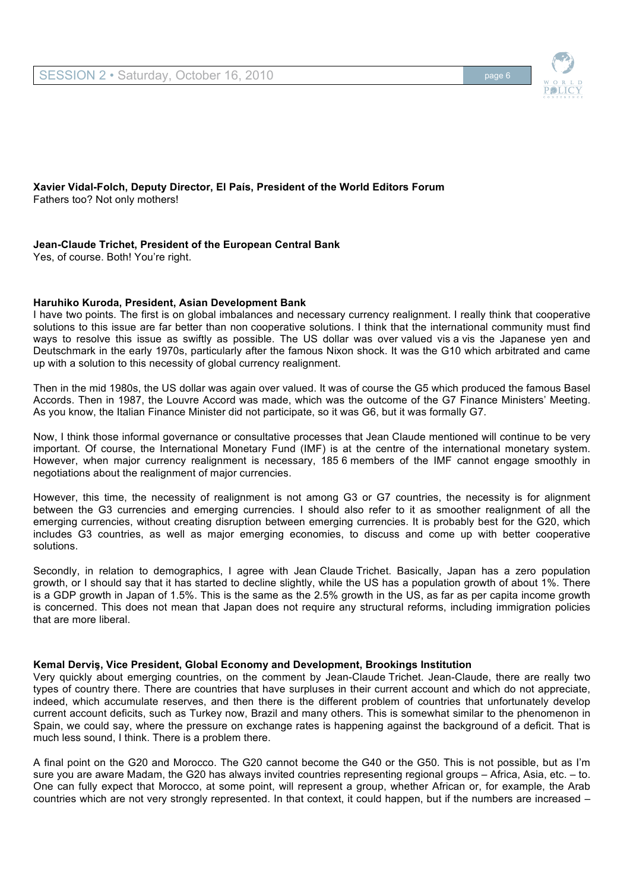

**Xavier Vidal-Folch, Deputy Director, El País, President of the World Editors Forum** Fathers too? Not only mothers!

## **Jean-Claude Trichet, President of the European Central Bank**

Yes, of course. Both! You're right.

#### **Haruhiko Kuroda, President, Asian Development Bank**

I have two points. The first is on global imbalances and necessary currency realignment. I really think that cooperative solutions to this issue are far better than non cooperative solutions. I think that the international community must find ways to resolve this issue as swiftly as possible. The US dollar was over valued vis a vis the Japanese yen and Deutschmark in the early 1970s, particularly after the famous Nixon shock. It was the G10 which arbitrated and came up with a solution to this necessity of global currency realignment.

Then in the mid 1980s, the US dollar was again over valued. It was of course the G5 which produced the famous Basel Accords. Then in 1987, the Louvre Accord was made, which was the outcome of the G7 Finance Ministers' Meeting. As you know, the Italian Finance Minister did not participate, so it was G6, but it was formally G7.

Now, I think those informal governance or consultative processes that Jean Claude mentioned will continue to be very important. Of course, the International Monetary Fund (IMF) is at the centre of the international monetary system. However, when major currency realignment is necessary, 185 6 members of the IMF cannot engage smoothly in negotiations about the realignment of major currencies.

However, this time, the necessity of realignment is not among G3 or G7 countries, the necessity is for alignment between the G3 currencies and emerging currencies. I should also refer to it as smoother realignment of all the emerging currencies, without creating disruption between emerging currencies. It is probably best for the G20, which includes G3 countries, as well as major emerging economies, to discuss and come up with better cooperative solutions.

Secondly, in relation to demographics, I agree with Jean Claude Trichet. Basically, Japan has a zero population growth, or I should say that it has started to decline slightly, while the US has a population growth of about 1%. There is a GDP growth in Japan of 1.5%. This is the same as the 2.5% growth in the US, as far as per capita income growth is concerned. This does not mean that Japan does not require any structural reforms, including immigration policies that are more liberal.

#### **Kemal Derviş, Vice President, Global Economy and Development, Brookings Institution**

Very quickly about emerging countries, on the comment by Jean-Claude Trichet. Jean-Claude, there are really two types of country there. There are countries that have surpluses in their current account and which do not appreciate, indeed, which accumulate reserves, and then there is the different problem of countries that unfortunately develop current account deficits, such as Turkey now, Brazil and many others. This is somewhat similar to the phenomenon in Spain, we could say, where the pressure on exchange rates is happening against the background of a deficit. That is much less sound, I think. There is a problem there.

A final point on the G20 and Morocco. The G20 cannot become the G40 or the G50. This is not possible, but as I'm sure you are aware Madam, the G20 has always invited countries representing regional groups – Africa, Asia, etc. – to. One can fully expect that Morocco, at some point, will represent a group, whether African or, for example, the Arab countries which are not very strongly represented. In that context, it could happen, but if the numbers are increased –